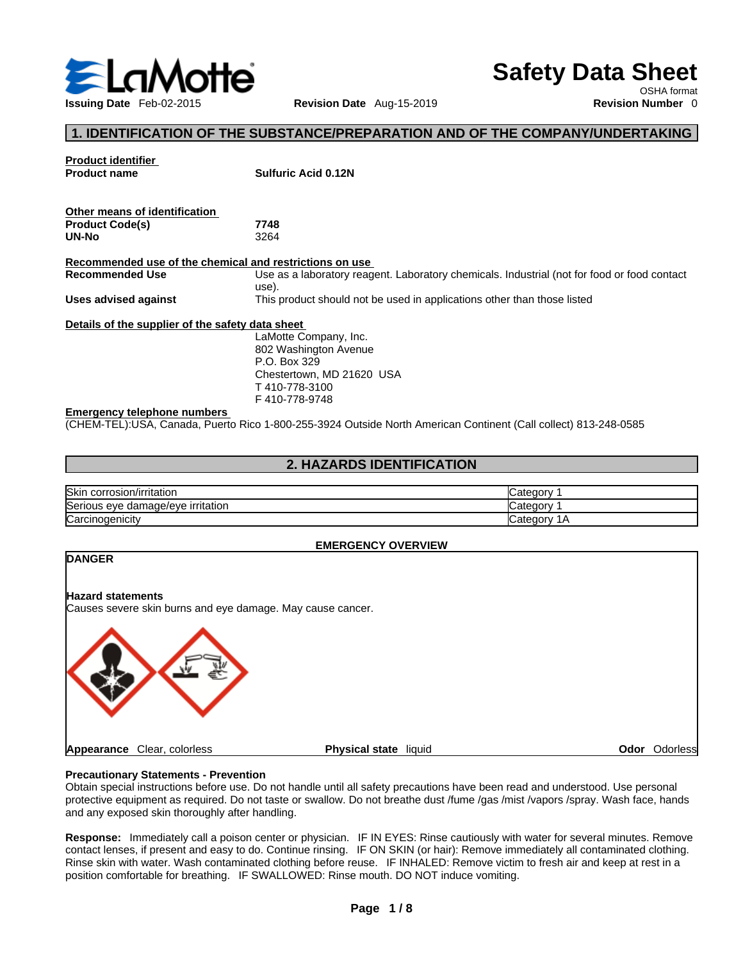

# **Safety Data Sheet**

OSHA format

# **1. IDENTIFICATION OF THE SUBSTANCE/PREPARATION AND OF THE COMPANY/UNDERTAKING**

| <b>Product identifier</b><br><b>Product name</b>        | <b>Sulfuric Acid 0.12N</b>                                                                                      |
|---------------------------------------------------------|-----------------------------------------------------------------------------------------------------------------|
| Other means of identification                           |                                                                                                                 |
| <b>Product Code(s)</b>                                  | 7748                                                                                                            |
| UN-No                                                   | 3264                                                                                                            |
| Recommended use of the chemical and restrictions on use |                                                                                                                 |
| <b>Recommended Use</b>                                  | Use as a laboratory reagent. Laboratory chemicals. Industrial (not for food or food contact<br>use).            |
| Uses advised against                                    | This product should not be used in applications other than those listed                                         |
| Details of the supplier of the safety data sheet        |                                                                                                                 |
|                                                         | LaMotte Company, Inc.                                                                                           |
|                                                         | 802 Washington Avenue                                                                                           |
|                                                         | P.O. Box 329                                                                                                    |
|                                                         | Chestertown, MD 21620 USA                                                                                       |
|                                                         | T410-778-3100                                                                                                   |
|                                                         | F410-778-9748                                                                                                   |
| <b>Emergency telephone numbers</b>                      |                                                                                                                 |
|                                                         | (CHEM-TEL):USA, Canada, Puerto Rico 1-800-255-3924 Outside North American Continent (Call collect) 813-248-0585 |
|                                                         |                                                                                                                 |

# **2. HAZARDS IDENTIFICATION**

| Skin corrosion/irritation         | 2 ategory.               |
|-----------------------------------|--------------------------|
| Serious eye damage/eye irritation | ∶ateɑorv                 |
| Carcinogenicity                   | ″ ategoryب<br>$\sqrt{ }$ |

#### **EMERGENCY OVERVIEW**



#### **Precautionary Statements - Prevention**

Obtain special instructions before use. Do not handle until all safety precautions have been read and understood. Use personal protective equipment as required. Do not taste or swallow. Do not breathe dust /fume /gas /mist /vapors /spray. Wash face, hands and any exposed skin thoroughly after handling.

Response: Immediately call a poison center or physician. IF IN EYES: Rinse cautiously with water for several minutes. Remove contact lenses, if present and easy to do. Continue rinsing. IF ON SKIN (or hair): Remove immediately all contaminated clothing. Rinse skin with water. Wash contaminated clothing before reuse. IF INHALED: Remove victim to fresh air and keep atrest in a position comfortable for breathing. IF SWALLOWED: Rinse mouth. DO NOT induce vomiting.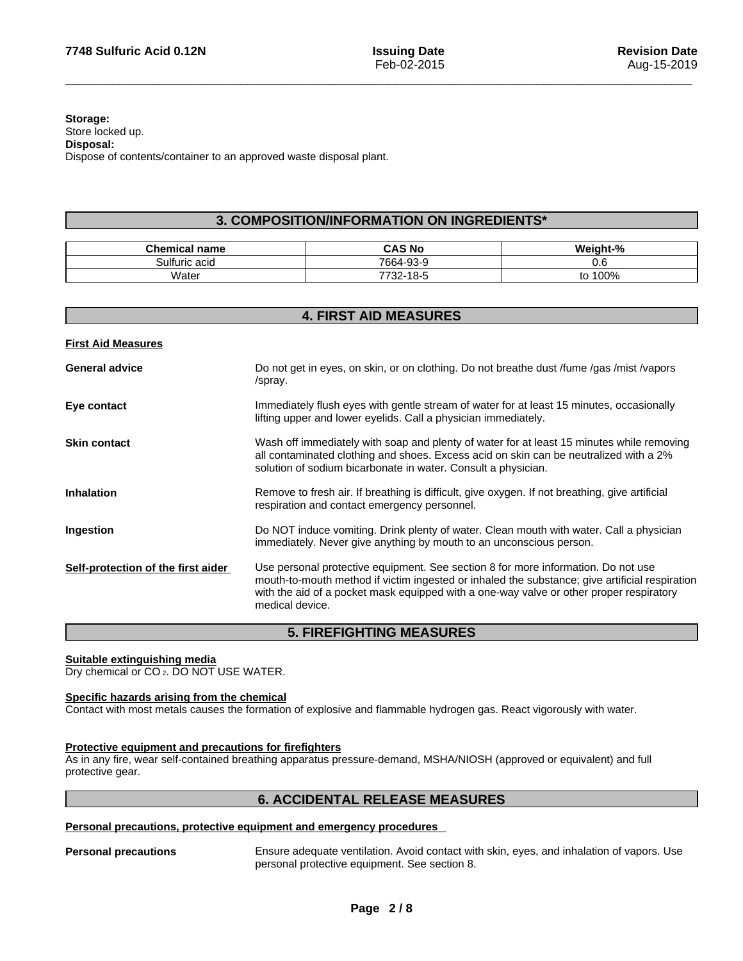#### **Storage:** Store locked up. **Disposal:** Dispose of contents/container to an approved waste disposal plant.

# **3. COMPOSITION/INFORMATION ON INGREDIENTS\***

| <b>Chemical name</b> | CAS No                 | Weight-% |
|----------------------|------------------------|----------|
| <br>Sulfuric acid    | 7664-93-9              | 0.6      |
| Water                | 18-ப<br>7700<br>- 22 - | 100%     |

| <b>4. FIRST AID MEASURES</b>       |                                                                                                                                                                                                                                                                                                   |  |
|------------------------------------|---------------------------------------------------------------------------------------------------------------------------------------------------------------------------------------------------------------------------------------------------------------------------------------------------|--|
| <b>First Aid Measures</b>          |                                                                                                                                                                                                                                                                                                   |  |
| <b>General advice</b>              | Do not get in eyes, on skin, or on clothing. Do not breathe dust /fume /gas /mist /vapors<br>/spray.                                                                                                                                                                                              |  |
| Eye contact                        | Immediately flush eyes with gentle stream of water for at least 15 minutes, occasionally<br>lifting upper and lower eyelids. Call a physician immediately.                                                                                                                                        |  |
| <b>Skin contact</b>                | Wash off immediately with soap and plenty of water for at least 15 minutes while removing<br>all contaminated clothing and shoes. Excess acid on skin can be neutralized with a 2%<br>solution of sodium bicarbonate in water. Consult a physician.                                               |  |
| <b>Inhalation</b>                  | Remove to fresh air. If breathing is difficult, give oxygen. If not breathing, give artificial<br>respiration and contact emergency personnel.                                                                                                                                                    |  |
| Ingestion                          | Do NOT induce vomiting. Drink plenty of water. Clean mouth with water. Call a physician<br>immediately. Never give anything by mouth to an unconscious person.                                                                                                                                    |  |
| Self-protection of the first aider | Use personal protective equipment. See section 8 for more information. Do not use<br>mouth-to-mouth method if victim ingested or inhaled the substance; give artificial respiration<br>with the aid of a pocket mask equipped with a one-way valve or other proper respiratory<br>medical device. |  |
|                                    |                                                                                                                                                                                                                                                                                                   |  |

# **5. FIREFIGHTING MEASURES**

# **Suitable extinguishing media**

Dry chemical or CO 2. DO NOT USE WATER.

#### **Specific hazards arising from the chemical**

Contact with most metals causes the formation of explosive and flammable hydrogen gas. React vigorously with water.

#### **Protective equipment and precautions for firefighters**

As in any fire, wear self-contained breathing apparatus pressure-demand, MSHA/NIOSH (approved or equivalent) and full protective gear.

# **6. ACCIDENTAL RELEASE MEASURES**

# **Personal precautions, protective equipment and emergency procedures**

**Personal precautions** Ensure adequate ventilation. Avoid contact with skin, eyes, and inhalation of vapors. Use personal protective equipment. See section 8.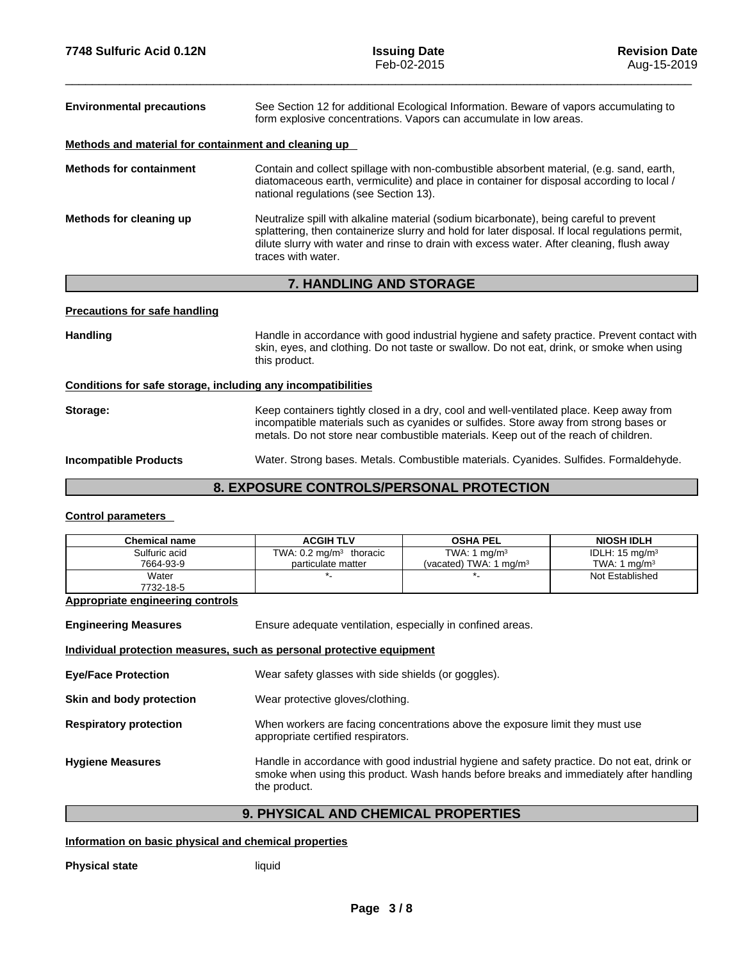| <b>Environmental precautions</b>                     | See Section 12 for additional Ecological Information. Beware of vapors accumulating to<br>form explosive concentrations. Vapors can accumulate in low areas.                                                                                                                                                 |
|------------------------------------------------------|--------------------------------------------------------------------------------------------------------------------------------------------------------------------------------------------------------------------------------------------------------------------------------------------------------------|
| Methods and material for containment and cleaning up |                                                                                                                                                                                                                                                                                                              |
| <b>Methods for containment</b>                       | Contain and collect spillage with non-combustible absorbent material, (e.g. sand, earth,<br>diatomaceous earth, vermiculite) and place in container for disposal according to local /<br>national regulations (see Section 13).                                                                              |
| Methods for cleaning up                              | Neutralize spill with alkaline material (sodium bicarbonate), being careful to prevent<br>splattering, then containerize slurry and hold for later disposal. If local regulations permit,<br>dilute slurry with water and rinse to drain with excess water. After cleaning, flush away<br>traces with water. |
|                                                      | $\overline{z}$ iiiiniinia ilin ctadiae                                                                                                                                                                                                                                                                       |

# **7. HANDLING AND STORAGE**

#### **Precautions for safe handling**

Handling **Handle in accordance with good industrial hygiene and safety practice. Prevent contact with example and safety practice. Prevent contact with** skin, eyes, and clothing. Do not taste or swallow.Do not eat, drink, or smoke when using this product.

#### **Conditions for safe storage, including any incompatibilities**

**Storage:** Keep containers tightly closed in a dry, cool and well-ventilated place. Keep away from incompatible materials such as cyanides or sulfides. Store away from strong bases or metals. Do not store near combustible materials. Keep out of the reach of children.

**Incompatible Products** Water. Strong bases. Metals. Combustible materials. Cyanides. Sulfides. Formaldehyde.

# **8. EXPOSURE CONTROLS/PERSONAL PROTECTION**

#### **Control parameters**

| <b>Chemical name</b>                                                  | <b>ACGIH TLV</b>                                                                                                                                                                                      | <b>OSHA PEL</b>                    | <b>NIOSH IDLH</b>         |  |  |
|-----------------------------------------------------------------------|-------------------------------------------------------------------------------------------------------------------------------------------------------------------------------------------------------|------------------------------------|---------------------------|--|--|
| Sulfuric acid                                                         | TWA: $0.2 \text{ mg/m}^3$ thoracic                                                                                                                                                                    | TWA: 1 $mg/m3$                     | IDLH: $15 \text{ mg/m}^3$ |  |  |
| 7664-93-9                                                             | particulate matter                                                                                                                                                                                    | (vacated) TWA: 1 mg/m <sup>3</sup> | TWA: 1 mg/m $3$           |  |  |
| Water                                                                 |                                                                                                                                                                                                       |                                    | Not Established           |  |  |
| 7732-18-5                                                             |                                                                                                                                                                                                       |                                    |                           |  |  |
| <b>Appropriate engineering controls</b>                               |                                                                                                                                                                                                       |                                    |                           |  |  |
| <b>Engineering Measures</b>                                           | Ensure adequate ventilation, especially in confined areas.                                                                                                                                            |                                    |                           |  |  |
| Individual protection measures, such as personal protective equipment |                                                                                                                                                                                                       |                                    |                           |  |  |
| <b>Eye/Face Protection</b>                                            | Wear safety glasses with side shields (or goggles).                                                                                                                                                   |                                    |                           |  |  |
| Skin and body protection                                              | Wear protective gloves/clothing.                                                                                                                                                                      |                                    |                           |  |  |
| <b>Respiratory protection</b>                                         | When workers are facing concentrations above the exposure limit they must use<br>appropriate certified respirators.                                                                                   |                                    |                           |  |  |
| <b>Hygiene Measures</b>                                               | Handle in accordance with good industrial hygiene and safety practice. Do not eat, drink or<br>smoke when using this product. Wash hands before breaks and immediately after handling<br>the product. |                                    |                           |  |  |

# **9. PHYSICAL AND CHEMICAL PROPERTIES**

#### **Information on basic physical and chemical properties**

**Physical state** liquid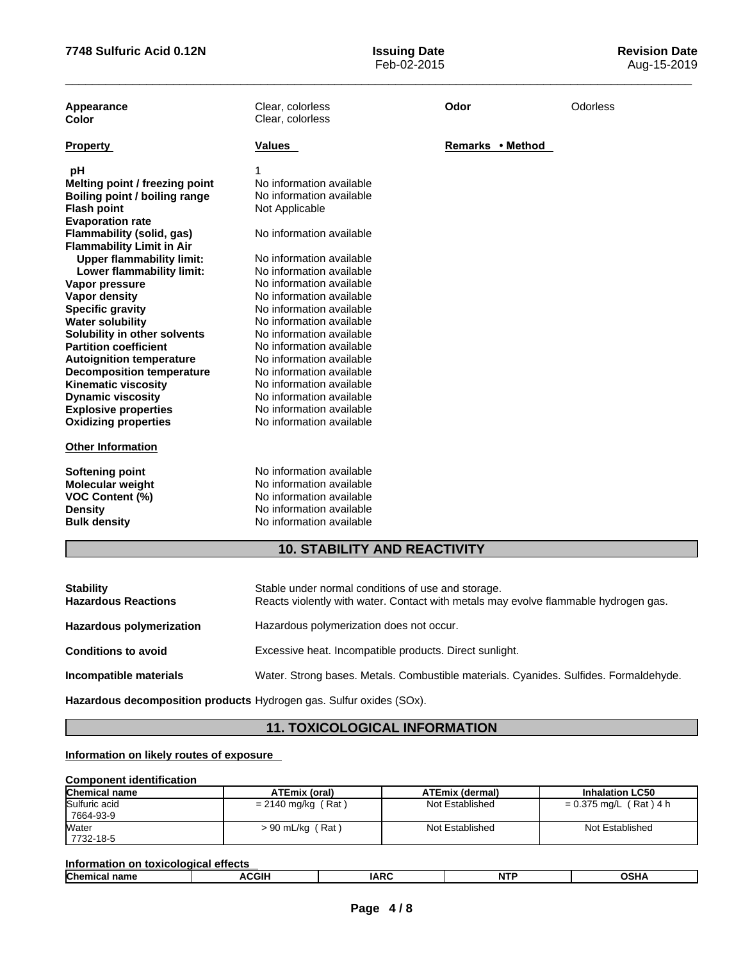**Issuing Date**<br>Feb-02-2015

| Appearance<br>Color              | Clear, colorless<br>Clear, colorless | Odor             | Odorless |
|----------------------------------|--------------------------------------|------------------|----------|
| <b>Property</b>                  | Values                               | Remarks • Method |          |
| рH                               |                                      |                  |          |
| Melting point / freezing point   | No information available             |                  |          |
| Boiling point / boiling range    | No information available             |                  |          |
| <b>Flash point</b>               | Not Applicable                       |                  |          |
| <b>Evaporation rate</b>          |                                      |                  |          |
| Flammability (solid, gas)        | No information available             |                  |          |
| <b>Flammability Limit in Air</b> |                                      |                  |          |
| <b>Upper flammability limit:</b> | No information available             |                  |          |
| Lower flammability limit:        | No information available             |                  |          |
| Vapor pressure                   | No information available             |                  |          |
| <b>Vapor density</b>             | No information available             |                  |          |
| <b>Specific gravity</b>          | No information available             |                  |          |
| <b>Water solubility</b>          | No information available             |                  |          |
| Solubility in other solvents     | No information available             |                  |          |
| <b>Partition coefficient</b>     | No information available             |                  |          |
| <b>Autoignition temperature</b>  | No information available             |                  |          |
| <b>Decomposition temperature</b> | No information available             |                  |          |
| <b>Kinematic viscosity</b>       | No information available             |                  |          |
| <b>Dynamic viscosity</b>         | No information available             |                  |          |
| <b>Explosive properties</b>      | No information available             |                  |          |
| <b>Oxidizing properties</b>      | No information available             |                  |          |
| <b>Other Information</b>         |                                      |                  |          |
| <b>Softening point</b>           | No information available             |                  |          |
| <b>Molecular weight</b>          | No information available             |                  |          |
| <b>VOC Content (%)</b>           | No information available             |                  |          |
| <b>Density</b>                   | No information available             |                  |          |
| <b>Bulk density</b>              | No information available             |                  |          |
|                                  | <b>10. STABILITY AND REACTIVITY</b>  |                  |          |
|                                  |                                      |                  |          |

| <b>Stability</b><br><b>Hazardous Reactions</b> | Stable under normal conditions of use and storage.<br>Reacts violently with water. Contact with metals may evolve flammable hydrogen gas. |  |  |
|------------------------------------------------|-------------------------------------------------------------------------------------------------------------------------------------------|--|--|
| <b>Hazardous polymerization</b>                | Hazardous polymerization does not occur.                                                                                                  |  |  |
| <b>Conditions to avoid</b>                     | Excessive heat. Incompatible products. Direct sunlight.                                                                                   |  |  |
| Incompatible materials                         | Water. Strong bases. Metals. Combustible materials. Cyanides. Sulfides. Formaldehyde.                                                     |  |  |

**Hazardous decomposition products** Hydrogen gas. Sulfur oxides (SOx).

# **11. TOXICOLOGICAL INFORMATION**

**Information on likely routes of exposure**

# **Component identification**

| <b>Chemical name</b> | <b>ATEmix (oral)</b> | <b>ATEmix (dermal)</b> | <b>Inhalation LC50</b>   |
|----------------------|----------------------|------------------------|--------------------------|
| Sulfuric acid        | $= 2140$ mg/kg (Rat) | Not Established        | $= 0.375$ mg/L (Rat) 4 h |
| 7664-93-9            |                      |                        |                          |
| Water                | $> 90$ mL/kg (Rat)   | Not Established        | Not Established          |
| 7732-18-5            |                      |                        |                          |

| <b>Inform</b><br>effects<br>n n<br>.<br>זוה<br>TOYIC<br>adOP 1           |  |  |  |  |  |
|--------------------------------------------------------------------------|--|--|--|--|--|
| <b>Chem</b><br><b>CGIH</b><br>IAPC<br><b>NTP</b><br>∖C⊔ ∧<br>אחר<br>.ANV |  |  |  |  |  |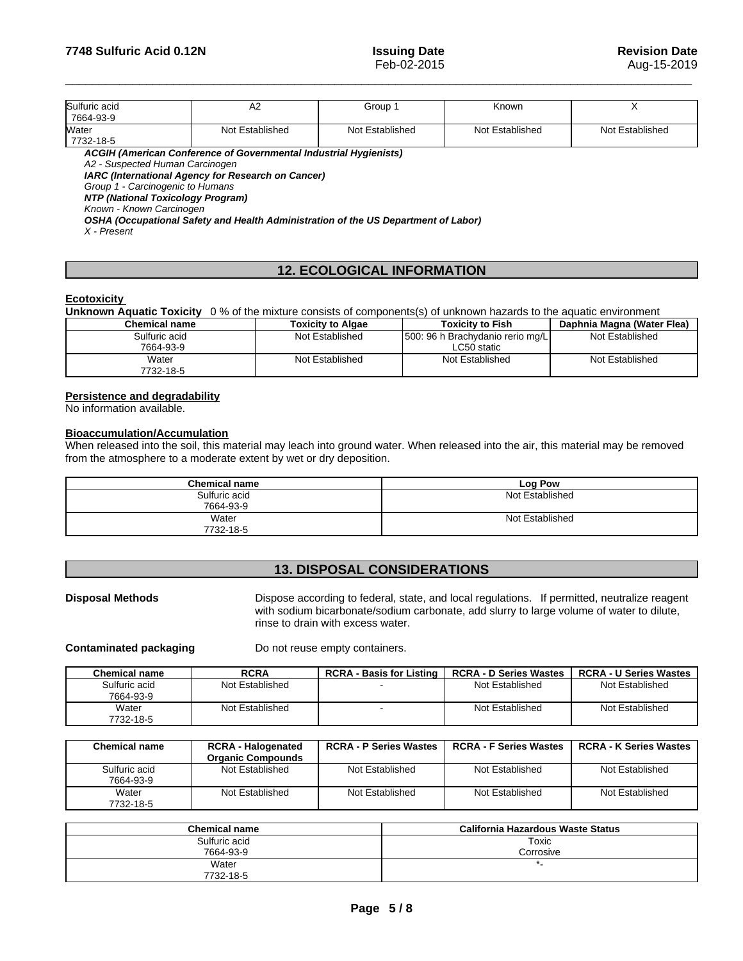| Sulfuric acid | ∼               | Group 1         | Known           |                 |
|---------------|-----------------|-----------------|-----------------|-----------------|
| 7664-93-9     |                 |                 |                 |                 |
| Water         | Not Established | Not Established | Not Established | Not Established |
| 7732-18-5     |                 |                 |                 |                 |

*ACGIH (American Conference of Governmental Industrial Hygienists)*

*A2 - Suspected Human Carcinogen* 

*IARC (International Agency for Research on Cancer)*

*Group 1 - Carcinogenic to Humans* 

*NTP (National Toxicology Program)*

*Known - Known Carcinogen* 

*OSHA (Occupational Safety and Health Administration of the US Department of Labor)*

*X - Present* 

# **12. ECOLOGICAL INFORMATION**

#### **Ecotoxicity**

**Unknown Aquatic Toxicity** 0 % of the mixture consists of components(s) of unknown hazards to the aquatic environment **Chemical name Toxicity to Algae Toxicity to Fish Daphnia Magna (Water Flea)** 

| Sulfuric acid      | Not Established | [500: 96 h Brachydanio rerio mg/L] | Not Established |
|--------------------|-----------------|------------------------------------|-----------------|
| 7664-93-9          |                 | LC50 static                        |                 |
| Water<br>7732-18-5 | Not Established | Not Established                    | Not Established |

#### **Persistence and degradability**

No information available.

### **Bioaccumulation/Accumulation**

When released into the soil, this material may leach into ground water. When released into the air, this material may be removed from the atmosphere to a moderate extent by wet or dry deposition.

| <b>Chemical name</b> | Log Pow         |
|----------------------|-----------------|
| Sulfuric acid        | Not Established |
| 7664-93-9            |                 |
| Water                | Not Established |
| 7732-18-5            |                 |

# **13. DISPOSAL CONSIDERATIONS**

**Disposal Methods** Dispose according to federal, state, and local regulations. If permitted, neutralize reagent with sodium bicarbonate/sodium carbonate, add slurry to large volume of water to dilute, rinse to drain with excess water.

**Contaminated packaging** Do not reuse empty containers.

| Chemical name | <b>RCRA</b>     | <b>RCRA - Basis for Listing</b> | <b>RCRA - D Series Wastes</b> | <b>RCRA - U Series Wastes</b> |
|---------------|-----------------|---------------------------------|-------------------------------|-------------------------------|
| Sulfuric acid | Not Established |                                 | Not Established               | Not Established               |
| 7664-93-9     |                 |                                 |                               |                               |
| Water         | Not Established |                                 | Not Established               | Not Established               |
| 7732-18-5     |                 |                                 |                               |                               |

| <b>Chemical name</b>       | <b>RCRA - Halogenated</b><br><b>Organic Compounds</b> | <b>RCRA - P Series Wastes</b> | <b>RCRA - F Series Wastes</b> | <b>RCRA - K Series Wastes</b> |
|----------------------------|-------------------------------------------------------|-------------------------------|-------------------------------|-------------------------------|
| Sulfuric acid<br>7664-93-9 | Not Established                                       | Not Established               | Not Established               | Not Established               |
| Water<br>7732-18-5         | Not Established                                       | Not Established               | Not Established               | Not Established               |

| <b>Chemical name</b> | California Hazardous Waste Status |
|----------------------|-----------------------------------|
| Sulfuric acid        | Toxic                             |
| 7664-93-9            | Corrosive                         |
| Water                |                                   |
| 7732-18-5            |                                   |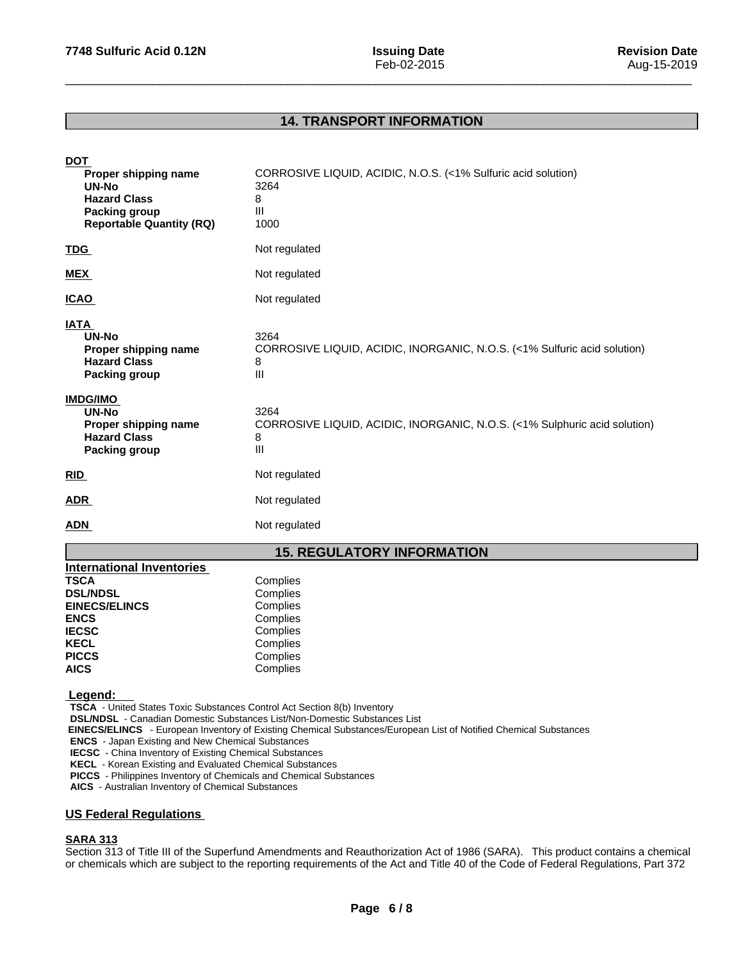# **14. TRANSPORT INFORMATION**

| <b>DOT</b><br>Proper shipping name<br>UN-No<br><b>Hazard Class</b><br>Packing group<br><b>Reportable Quantity (RQ)</b>                                                                                                   | CORROSIVE LIQUID, ACIDIC, N.O.S. (<1% Sulfuric acid solution)<br>3264<br>8<br>Ш<br>1000                                                                                                              |
|--------------------------------------------------------------------------------------------------------------------------------------------------------------------------------------------------------------------------|------------------------------------------------------------------------------------------------------------------------------------------------------------------------------------------------------|
| TDG                                                                                                                                                                                                                      | Not regulated                                                                                                                                                                                        |
| <b>MEX</b>                                                                                                                                                                                                               | Not regulated                                                                                                                                                                                        |
| <b>ICAO</b>                                                                                                                                                                                                              | Not regulated                                                                                                                                                                                        |
| <b>IATA</b><br><b>UN-No</b><br>Proper shipping name<br><b>Hazard Class</b><br><b>Packing group</b>                                                                                                                       | 3264<br>CORROSIVE LIQUID, ACIDIC, INORGANIC, N.O.S. (<1% Sulfuric acid solution)<br>8<br>$\mathbf{III}$                                                                                              |
| <b>IMDG/IMO</b><br>UN-No<br>Proper shipping name<br><b>Hazard Class</b><br><b>Packing group</b>                                                                                                                          | 3264<br>CORROSIVE LIQUID, ACIDIC, INORGANIC, N.O.S. (<1% Sulphuric acid solution)<br>8<br>Ш                                                                                                          |
| RID                                                                                                                                                                                                                      | Not regulated                                                                                                                                                                                        |
| <b>ADR</b>                                                                                                                                                                                                               | Not regulated                                                                                                                                                                                        |
| <b>ADN</b>                                                                                                                                                                                                               | Not regulated                                                                                                                                                                                        |
|                                                                                                                                                                                                                          | <b>15. REGULATORY INFORMATION</b>                                                                                                                                                                    |
| <b>International Inventories</b><br><b>TSCA</b><br><b>DSL/NDSL</b><br><b>EINECS/ELINCS</b><br><b>ENCS</b><br><b>IECSC</b><br><b>KECL</b><br><b>PICCS</b><br><b>AICS</b>                                                  | Complies<br>Complies<br>Complies<br>Complies<br>Complies<br>Complies<br>Complies<br>Complies                                                                                                         |
| Legend:<br><b>TSCA</b> - United States Toxic Substances Control Act Section 8(b) Inventory<br><b>ENCS</b> - Japan Existing and New Chemical Substances<br><b>IECSC</b> - China Inventory of Existing Chemical Substances | <b>DSL/NDSL</b> - Canadian Domestic Substances List/Non-Domestic Substances List<br>EINECS/ELINCS - European Inventory of Existing Chemical Substances/European List of Notified Chemical Substances |

**KECL** - Korean Existing and Evaluated Chemical Substances

**PICCS** - Philippines Inventory of Chemicals and Chemical Substances

**AICS** - Australian Inventory of Chemical Substances

# **US Federal Regulations**

#### **SARA 313**

Section 313 of Title III of the Superfund Amendments and Reauthorization Act of 1986 (SARA). This product contains a chemical or chemicals which are subject to the reporting requirements of the Act and Title 40 of the Code of Federal Regulations, Part 372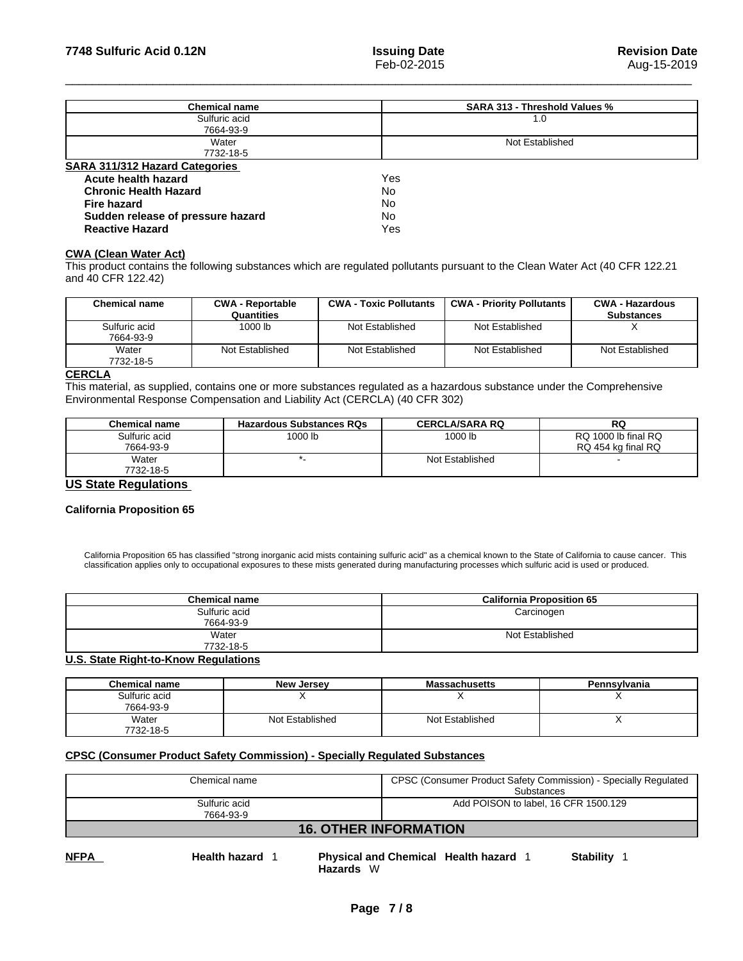| <b>Chemical name</b>                  | <b>SARA 313 - Threshold Values %</b> |
|---------------------------------------|--------------------------------------|
| Sulfuric acid<br>7664-93-9            | 1.0                                  |
| Water<br>7732-18-5                    | Not Established                      |
| <b>SARA 311/312 Hazard Categories</b> |                                      |
| Acute health hazard                   | Yes                                  |
| <b>Chronic Health Hazard</b>          | No                                   |
| <b>Fire hazard</b>                    | No                                   |
| Sudden release of pressure hazard     | No                                   |
| <b>Reactive Hazard</b>                | Yes                                  |

#### **CWA (Clean WaterAct)**

This product contains the following substances which are regulated pollutants pursuant to the Clean Water Act (40 CFR 122.21 and 40 CFR 122.42)

| Chemical name              | <b>CWA - Reportable</b><br>Quantities | <b>CWA - Toxic Pollutants</b> | <b>CWA - Priority Pollutants</b> | <b>CWA - Hazardous</b><br><b>Substances</b> |
|----------------------------|---------------------------------------|-------------------------------|----------------------------------|---------------------------------------------|
| Sulfuric acid<br>7664-93-9 | 1000 lb                               | Not Established               | Not Established                  |                                             |
| Water<br>7732-18-5         | Not Established                       | Not Established               | Not Established                  | Not Established                             |

#### **CERCLA**

This material, as supplied, contains one or more substances regulated as a hazardous substance under the Comprehensive Environmental Response Compensation and Liability Act (CERCLA) (40 CFR 302)

| Chemical name               | <b>Hazardous Substances RQs</b> | <b>CERCLA/SARA RQ</b> | RQ                  |
|-----------------------------|---------------------------------|-----------------------|---------------------|
| Sulfuric acid               | 1000 lb                         | 1000 lb               | RQ 1000 lb final RQ |
| 7664-93-9                   |                                 |                       | RQ 454 kg final RQ  |
| Water                       |                                 | Not Established       |                     |
| 7732-18-5                   |                                 |                       |                     |
| <b>HC Clots Demulations</b> |                                 |                       |                     |

#### **US State Regulations**

#### **California Proposition 65**

California Proposition 65 has classified "strong inorganic acid mists containing sulfuric acid" as a chemical known to the State of California to cause cancer. This classification applies only to occupational exposures to these mists generated during manufacturing processes which sulfuric acid is used or produced.

| <b>Chemical name</b> | <b>California Proposition 65</b> |
|----------------------|----------------------------------|
| Sulfuric acid        | Carcinogen                       |
| 7664-93-9            |                                  |
| Water                | Not Established                  |
| 7732-18-5            |                                  |

#### **U.S. State Right-to-Know Regulations**

| <b>Chemical name</b> | <b>New Jersey</b> | <b>Massachusetts</b> | Pennsylvania |
|----------------------|-------------------|----------------------|--------------|
| Sulfuric acid        |                   |                      |              |
| 7664-93-9            |                   |                      |              |
| Water                | Not Established   | Not Established      |              |
| 7732-18-5            |                   |                      |              |

#### **CPSC (Consumer Product Safety Commission) - Specially Regulated Substances**

| Chemical name                | CPSC (Consumer Product Safety Commission) - Specially Regulated<br>Substances |  |
|------------------------------|-------------------------------------------------------------------------------|--|
| Sulfuric acid<br>7664-93-9   | Add POISON to label, 16 CFR 1500.129                                          |  |
| <b>16. OTHER INFORMATION</b> |                                                                               |  |

**NFPA Health hazard** 1 **Physical and Chemical Health hazard** 1 **Stability** 1 **Hazards** W